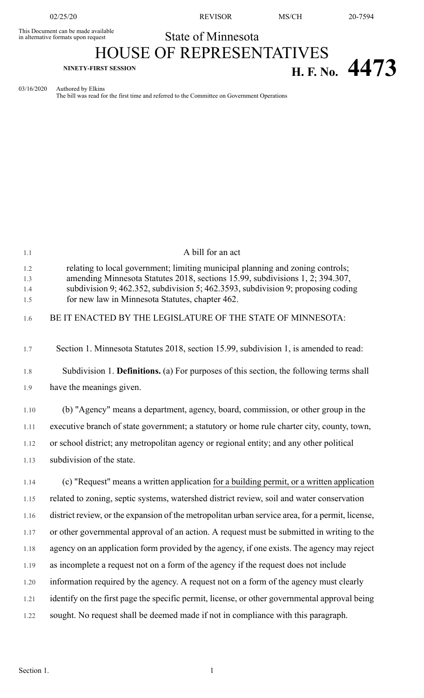This Document can be made available<br>in alternative formats upon request

02/25/20 REVISOR MS/CH 20-7594

State of Minnesota

## HOUSE OF REPRESENTATIVES **NINETY-FIRST SESSION H. F. No.**  $4473$

03/16/2020 Authored by Elkins

The bill was read for the first time and referred to the Committee on Government Operations

| 1.1                      | A bill for an act                                                                                                                                                                                                                                                                                      |
|--------------------------|--------------------------------------------------------------------------------------------------------------------------------------------------------------------------------------------------------------------------------------------------------------------------------------------------------|
| 1.2<br>1.3<br>1.4<br>1.5 | relating to local government; limiting municipal planning and zoning controls;<br>amending Minnesota Statutes 2018, sections 15.99, subdivisions 1, 2; 394.307,<br>subdivision 9; 462.352, subdivision 5; 462.3593, subdivision 9; proposing coding<br>for new law in Minnesota Statutes, chapter 462. |
| 1.6                      | BE IT ENACTED BY THE LEGISLATURE OF THE STATE OF MINNESOTA:                                                                                                                                                                                                                                            |
| 1.7                      | Section 1. Minnesota Statutes 2018, section 15.99, subdivision 1, is amended to read:                                                                                                                                                                                                                  |
| 1.8                      | Subdivision 1. Definitions. (a) For purposes of this section, the following terms shall                                                                                                                                                                                                                |
| 1.9                      | have the meanings given.                                                                                                                                                                                                                                                                               |
| 1.10                     | (b) "Agency" means a department, agency, board, commission, or other group in the                                                                                                                                                                                                                      |
| 1.11                     | executive branch of state government; a statutory or home rule charter city, county, town,                                                                                                                                                                                                             |
| 1.12                     | or school district; any metropolitan agency or regional entity; and any other political                                                                                                                                                                                                                |
| 1.13                     | subdivision of the state.                                                                                                                                                                                                                                                                              |
| 1.14                     | (c) "Request" means a written application for a building permit, or a written application                                                                                                                                                                                                              |
| 1.15                     | related to zoning, septic systems, watershed district review, soil and water conservation                                                                                                                                                                                                              |
| 1.16                     | district review, or the expansion of the metropolitan urban service area, for a permit, license,                                                                                                                                                                                                       |
| 1.17                     | or other governmental approval of an action. A request must be submitted in writing to the                                                                                                                                                                                                             |
| 1.18                     | agency on an application form provided by the agency, if one exists. The agency may reject                                                                                                                                                                                                             |
| 1.19                     | as incomplete a request not on a form of the agency if the request does not include                                                                                                                                                                                                                    |
| 1.20                     | information required by the agency. A request not on a form of the agency must clearly                                                                                                                                                                                                                 |
| 1.21                     | identify on the first page the specific permit, license, or other governmental approval being                                                                                                                                                                                                          |
| 1.22                     | sought. No request shall be deemed made if not in compliance with this paragraph.                                                                                                                                                                                                                      |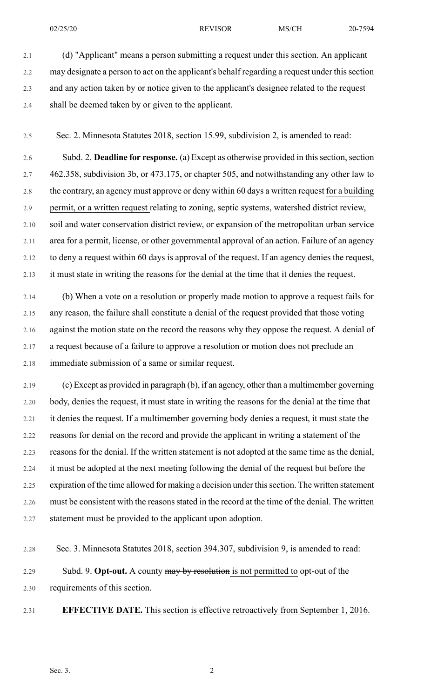02/25/20 **REVISOR** MS/CH 20-7594

2.1 (d) "Applicant" means a person submitting a request under this section. An applicant 2.2 may designate a person to act on the applicant's behalf regarding a request under this section 2.3 and any action taken by or notice given to the applicant's designee related to the request 2.4 shall be deemed taken by or given to the applicant.

2.5 Sec. 2. Minnesota Statutes 2018, section 15.99, subdivision 2, is amended to read:

2.6 Subd. 2. **Deadline for response.** (a) Except as otherwise provided in thissection,section 2.7 462.358, subdivision 3b, or 473.175, or chapter 505, and notwithstanding any other law to 2.8 the contrary, an agency must approve or deny within 60 days a written request for a building 2.9 permit, or a written request relating to zoning, septic systems, watershed district review, 2.10 soil and water conservation district review, or expansion of the metropolitan urban service 2.11 area for a permit, license, or other governmental approval of an action. Failure of an agency 2.12 to deny a request within 60 days is approval of the request. If an agency denies the request, 2.13 it must state in writing the reasons for the denial at the time that it denies the request.

2.14 (b) When a vote on a resolution or properly made motion to approve a request fails for 2.15 any reason, the failure shall constitute a denial of the request provided that those voting 2.16 against the motion state on the record the reasons why they oppose the request. A denial of 2.17 a request because of a failure to approve a resolution or motion does not preclude an 2.18 immediate submission of a same or similar request.

2.19 (c) Except as provided in paragraph (b), if an agency, other than a multimember governing 2.20 body, denies the request, it must state in writing the reasons for the denial at the time that 2.21 it denies the request. If a multimember governing body denies a request, it must state the 2.22 reasons for denial on the record and provide the applicant in writing a statement of the 2.23 reasons for the denial. If the written statement is not adopted at the same time as the denial, 2.24 it must be adopted at the next meeting following the denial of the request but before the 2.25 expiration of the time allowed for making a decision under this section. The written statement 2.26 must be consistent with the reasons stated in the record at the time of the denial. The written 2.27 statement must be provided to the applicant upon adoption.

2.28 Sec. 3. Minnesota Statutes 2018, section 394.307, subdivision 9, is amended to read:

2.29 Subd. 9. **Opt-out.** A county may by resolution is not permitted to opt-out of the 2.30 requirements of this section.

2.31 **EFFECTIVE DATE.** This section is effective retroactively from September 1, 2016.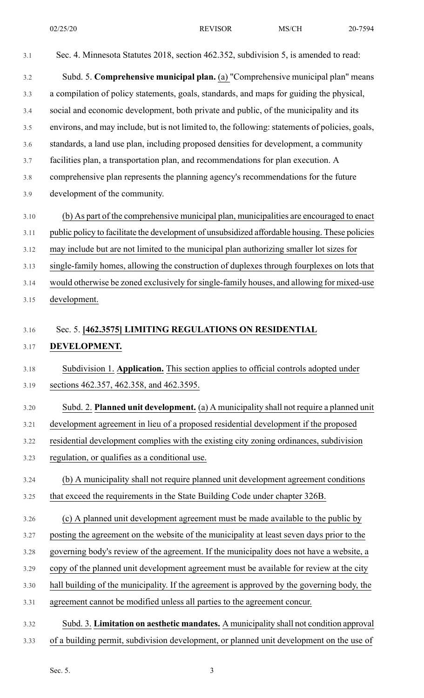3.1 Sec. 4. Minnesota Statutes 2018, section 462.352, subdivision 5, is amended to read: 3.2 Subd. 5. **Comprehensive municipal plan.** (a) "Comprehensive municipal plan" means 3.3 a compilation of policy statements, goals, standards, and maps for guiding the physical, 3.4 social and economic development, both private and public, of the municipality and its 3.5 environs, and may include, but is not limited to, the following: statements of policies, goals, 3.6 standards, a land use plan, including proposed densities for development, a community 3.7 facilities plan, a transportation plan, and recommendations for plan execution. A 3.8 comprehensive plan represents the planning agency's recommendations for the future 3.9 development of the community. 3.10 (b) As part of the comprehensive municipal plan, municipalities are encouraged to enact 3.11 public policy to facilitate the development of unsubsidized affordable housing. These policies 3.12 may include but are not limited to the municipal plan authorizing smaller lot sizes for 3.13 single-family homes, allowing the construction of duplexes through fourplexes on lots that 3.14 would otherwise be zoned exclusively forsingle-family houses, and allowing for mixed-use 3.15 development. 3.16 Sec. 5. **[462.3575] LIMITING REGULATIONS ON RESIDENTIAL** 3.17 **DEVELOPMENT.** 3.18 Subdivision 1. **Application.** This section applies to official controls adopted under 3.19 sections 462.357, 462.358, and 462.3595. 3.20 Subd. 2. **Planned unit development.** (a) A municipality shall not require a planned unit 3.21 development agreement in lieu of a proposed residential development if the proposed 3.22 residential development complies with the existing city zoning ordinances, subdivision 3.23 regulation, or qualifies as a conditional use. 3.24 (b) A municipality shall not require planned unit development agreement conditions 3.25 that exceed the requirements in the State Building Code under chapter 326B. 3.26 (c) A planned unit development agreement must be made available to the public by 3.27 posting the agreement on the website of the municipality at least seven days prior to the 3.28 governing body's review of the agreement. If the municipality does not have a website, a 3.29 copy of the planned unit development agreement must be available for review at the city 3.30 hall building of the municipality. If the agreement is approved by the governing body, the 3.31 agreement cannot be modified unless all parties to the agreement concur. 3.32 Subd. 3. **Limitation on aesthetic mandates.** A municipality shall not condition approval 3.33 of a building permit, subdivision development, or planned unit development on the use of